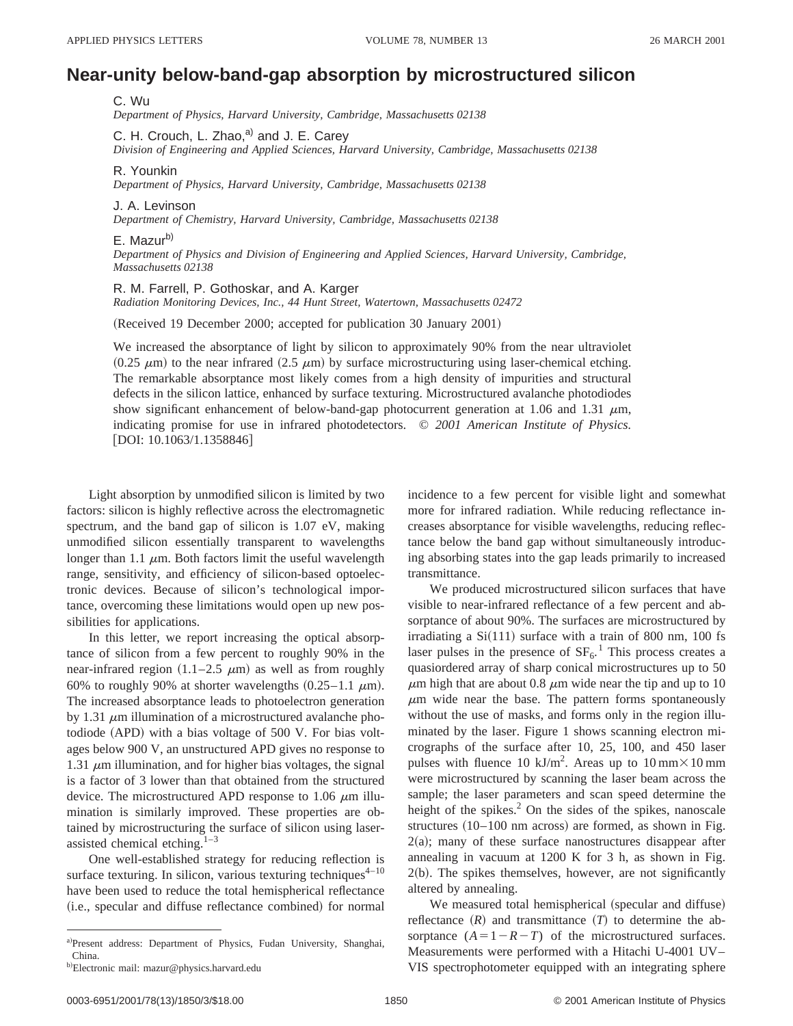## **Near-unity below-band-gap absorption by microstructured silicon**

C. Wu *Department of Physics, Harvard University, Cambridge, Massachusetts 02138*

C. H. Crouch, L. Zhao, $a^0$  and J. E. Carey *Division of Engineering and Applied Sciences, Harvard University, Cambridge, Massachusetts 02138*

## R. Younkin

*Department of Physics, Harvard University, Cambridge, Massachusetts 02138*

J. A. Levinson

*Department of Chemistry, Harvard University, Cambridge, Massachusetts 02138*

## E. Mazur<sup>b)</sup>

*Department of Physics and Division of Engineering and Applied Sciences, Harvard University, Cambridge, Massachusetts 02138*

## R. M. Farrell, P. Gothoskar, and A. Karger

*Radiation Monitoring Devices, Inc., 44 Hunt Street, Watertown, Massachusetts 02472*

(Received 19 December 2000; accepted for publication 30 January 2001)

We increased the absorptance of light by silicon to approximately 90% from the near ultraviolet  $(0.25 \mu m)$  to the near infrared  $(2.5 \mu m)$  by surface microstructuring using laser-chemical etching. The remarkable absorptance most likely comes from a high density of impurities and structural defects in the silicon lattice, enhanced by surface texturing. Microstructured avalanche photodiodes show significant enhancement of below-band-gap photocurrent generation at 1.06 and 1.31  $\mu$ m, indicating promise for use in infrared photodetectors. © *2001 American Institute of Physics.*  $[DOI: 10.1063/1.1358846]$ 

Light absorption by unmodified silicon is limited by two factors: silicon is highly reflective across the electromagnetic spectrum, and the band gap of silicon is 1.07 eV, making unmodified silicon essentially transparent to wavelengths longer than 1.1  $\mu$ m. Both factors limit the useful wavelength range, sensitivity, and efficiency of silicon-based optoelectronic devices. Because of silicon's technological importance, overcoming these limitations would open up new possibilities for applications.

In this letter, we report increasing the optical absorptance of silicon from a few percent to roughly 90% in the near-infrared region  $(1.1–2.5 \mu m)$  as well as from roughly 60% to roughly 90% at shorter wavelengths  $(0.25-1.1 \mu m)$ . The increased absorptance leads to photoelectron generation by 1.31  $\mu$ m illumination of a microstructured avalanche photodiode (APD) with a bias voltage of 500 V. For bias voltages below 900 V, an unstructured APD gives no response to 1.31  $\mu$ m illumination, and for higher bias voltages, the signal is a factor of 3 lower than that obtained from the structured device. The microstructured APD response to 1.06  $\mu$ m illumination is similarly improved. These properties are obtained by microstructuring the surface of silicon using laserassisted chemical etching. $1-3$ 

One well-established strategy for reducing reflection is surface texturing. In silicon, various texturing techniques $4-10$ have been used to reduce the total hemispherical reflectance (i.e., specular and diffuse reflectance combined) for normal incidence to a few percent for visible light and somewhat more for infrared radiation. While reducing reflectance increases absorptance for visible wavelengths, reducing reflectance below the band gap without simultaneously introducing absorbing states into the gap leads primarily to increased transmittance.

We produced microstructured silicon surfaces that have visible to near-infrared reflectance of a few percent and absorptance of about 90%. The surfaces are microstructured by irradiating a  $Si(111)$  surface with a train of 800 nm, 100 fs laser pulses in the presence of  $SF<sub>6</sub>$ .<sup>1</sup> This process creates a quasiordered array of sharp conical microstructures up to 50  $\mu$ m high that are about 0.8  $\mu$ m wide near the tip and up to 10  $\mu$ m wide near the base. The pattern forms spontaneously without the use of masks, and forms only in the region illuminated by the laser. Figure 1 shows scanning electron micrographs of the surface after 10, 25, 100, and 450 laser pulses with fluence 10 kJ/m<sup>2</sup>. Areas up to  $10 \text{ mm} \times 10 \text{ mm}$ were microstructured by scanning the laser beam across the sample; the laser parameters and scan speed determine the height of the spikes. $^{2}$  On the sides of the spikes, nanoscale structures  $(10-100 \text{ nm}$  across) are formed, as shown in Fig.  $2(a)$ ; many of these surface nanostructures disappear after annealing in vacuum at 1200 K for 3 h, as shown in Fig.  $2(b)$ . The spikes themselves, however, are not significantly altered by annealing.

We measured total hemispherical (specular and diffuse) reflectance  $(R)$  and transmittance  $(T)$  to determine the absorptance  $(A=1-R-T)$  of the microstructured surfaces. Measurements were performed with a Hitachi U-4001 UV– VIS spectrophotometer equipped with an integrating sphere

a)Present address: Department of Physics, Fudan University, Shanghai, China.

<sup>&</sup>lt;sup>b)</sup>Electronic mail: mazur@physics.harvard.edu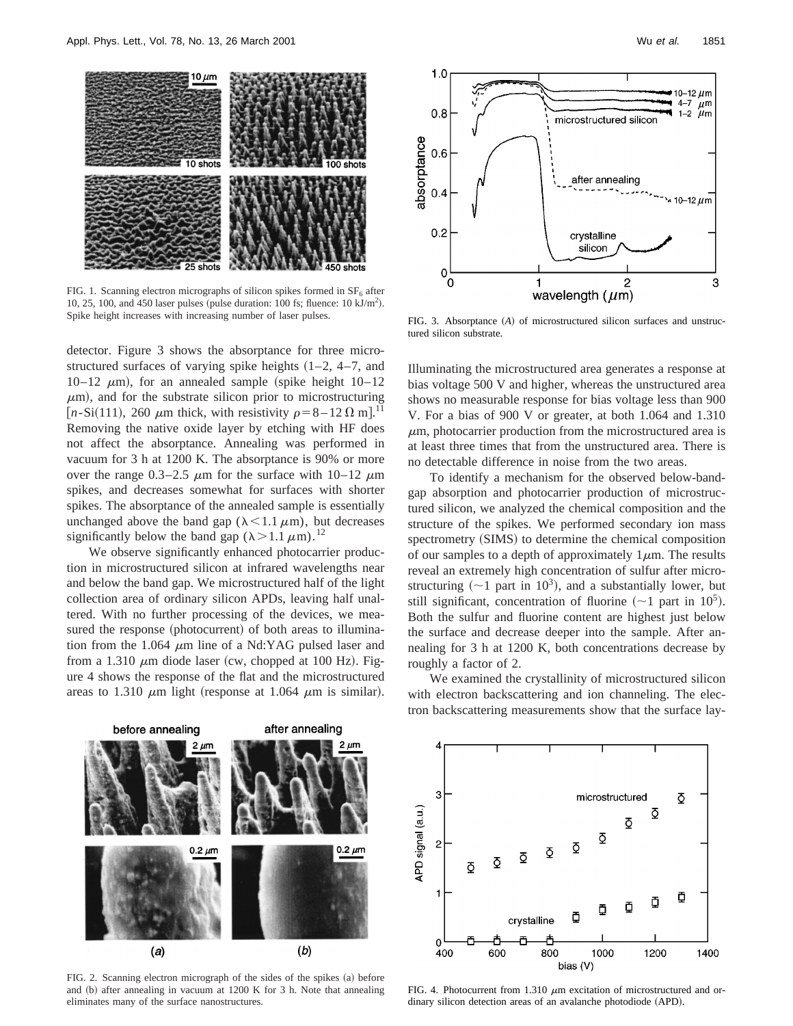

FIG. 1. Scanning electron micrographs of silicon spikes formed in  $SF<sub>6</sub>$  after 10, 25, 100, and 450 laser pulses (pulse duration: 100 fs; fluence:  $10 \text{ kJ/m}^2$ ).

detector. Figure 3 shows the absorptance for three microstructured surfaces of varying spike heights  $(1-2, 4-7, 4)$ 10–12  $\mu$ m), for an annealed sample (spike height 10–12  $\mu$ m), and for the substrate silicon prior to microstructuring [ $n-Si(111)$ , 260  $\mu$ m thick, with resistivity  $\rho=8-12 \Omega$  m].<sup>11</sup> Removing the native oxide layer by etching with HF does not affect the absorptance. Annealing was performed in vacuum for 3 h at 1200 K. The absorptance is 90% or more over the range  $0.3-2.5 \mu m$  for the surface with  $10-12 \mu m$ spikes, and decreases somewhat for surfaces with shorter spikes. The absorptance of the annealed sample is essentially unchanged above the band gap ( $\lambda$ <1.1  $\mu$ m), but decreases significantly below the band gap  $(\lambda > 1.1 \mu m).^{12}$ 

We observe significantly enhanced photocarrier production in microstructured silicon at infrared wavelengths near and below the band gap. We microstructured half of the light collection area of ordinary silicon APDs, leaving half unaltered. With no further processing of the devices, we measured the response (photocurrent) of both areas to illumination from the 1.064  $\mu$ m line of a Nd:YAG pulsed laser and from a 1.310  $\mu$ m diode laser (cw, chopped at 100 Hz). Figure 4 shows the response of the flat and the microstructured areas to 1.310  $\mu$ m light (response at 1.064  $\mu$ m is similar).



Spike height increases with increasing number of laser pulses. FIG. 3. Absorptance (A) of microstructured silicon surfaces and unstructured silicon substrate.

Illuminating the microstructured area generates a response at bias voltage 500 V and higher, whereas the unstructured area shows no measurable response for bias voltage less than 900 V. For a bias of 900 V or greater, at both 1.064 and 1.310  $\mu$ m, photocarrier production from the microstructured area is at least three times that from the unstructured area. There is no detectable difference in noise from the two areas.

To identify a mechanism for the observed below-bandgap absorption and photocarrier production of microstructured silicon, we analyzed the chemical composition and the structure of the spikes. We performed secondary ion mass spectrometry (SIMS) to determine the chemical composition of our samples to a depth of approximately  $1 \mu$ m. The results reveal an extremely high concentration of sulfur after microstructuring  $({\sim}1$  part in  $10^3$ ), and a substantially lower, but still significant, concentration of fluorine  $(\sim 1$  part in 10<sup>5</sup>). Both the sulfur and fluorine content are highest just below the surface and decrease deeper into the sample. After annealing for 3 h at 1200 K, both concentrations decrease by roughly a factor of 2.

We examined the crystallinity of microstructured silicon with electron backscattering and ion channeling. The electron backscattering measurements show that the surface lay-



FIG. 2. Scanning electron micrograph of the sides of the spikes (a) before and (b) after annealing in vacuum at 1200 K for 3 h. Note that annealing eliminates many of the surface nanostructures.



FIG. 4. Photocurrent from 1.310  $\mu$ m excitation of microstructured and ordinary silicon detection areas of an avalanche photodiode (APD).